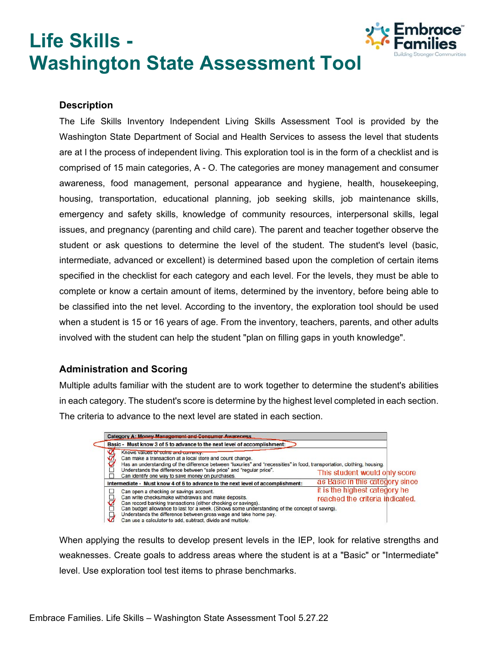# **Life Skills - Washington State Assessment Tool**



### **Description**

The Life Skills Inventory Independent Living Skills Assessment Tool is provided by the Washington State Department of Social and Health Services to assess the level that students are at I the process of independent living. This exploration tool is in the form of a checklist and is comprised of 15 main categories, A - O. The categories are money management and consumer awareness, food management, personal appearance and hygiene, health, housekeeping, housing, transportation, educational planning, job seeking skills, job maintenance skills, emergency and safety skills, knowledge of community resources, interpersonal skills, legal issues, and pregnancy (parenting and child care). The parent and teacher together observe the student or ask questions to determine the level of the student. The student's level (basic, intermediate, advanced or excellent) is determined based upon the completion of certain items specified in the checklist for each category and each level. For the levels, they must be able to complete or know a certain amount of items, determined by the inventory, before being able to be classified into the net level. According to the inventory, the exploration tool should be used when a student is 15 or 16 years of age. From the inventory, teachers, parents, and other adults involved with the student can help the student "plan on filling gaps in youth knowledge".

## **Administration and Scoring**

Multiple adults familiar with the student are to work together to determine the student's abilities in each category. The student's score is determine by the highest level completed in each section. The criteria to advance to the next level are stated in each section.



When applying the results to develop present levels in the IEP, look for relative strengths and weaknesses. Create goals to address areas where the student is at a "Basic" or "Intermediate" level. Use exploration tool test items to phrase benchmarks.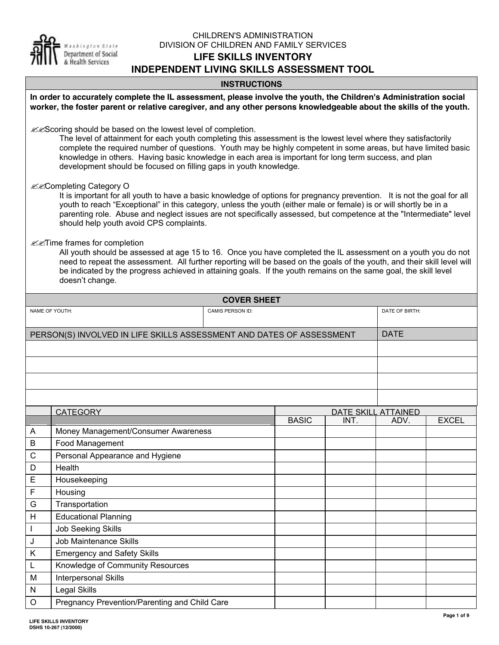

#### CHILDREN'S ADMINISTRATION DIVISION OF CHILDREN AND FAMILY SERVICES **LIFE SKILLS INVENTORY INDEPENDENT LIVING SKILLS ASSESSMENT TOOL**

## **INSTRUCTIONS**

| In order to accurately complete the IL assessment, please involve the youth, the Children's Administration social<br>worker, the foster parent or relative caregiver, and any other persons knowledgeable about the skills of the youth. |                                                                                                                                                                                                                                                                                                                                                                                                                                                                                 |                    |                             |      |              |
|------------------------------------------------------------------------------------------------------------------------------------------------------------------------------------------------------------------------------------------|---------------------------------------------------------------------------------------------------------------------------------------------------------------------------------------------------------------------------------------------------------------------------------------------------------------------------------------------------------------------------------------------------------------------------------------------------------------------------------|--------------------|-----------------------------|------|--------------|
|                                                                                                                                                                                                                                          | & Scoring should be based on the lowest level of completion.<br>The level of attainment for each youth completing this assessment is the lowest level where they satisfactorily<br>complete the required number of questions. Youth may be highly competent in some areas, but have limited basic<br>knowledge in others. Having basic knowledge in each area is important for long term success, and plan<br>development should be focused on filling gaps in youth knowledge. |                    |                             |      |              |
|                                                                                                                                                                                                                                          | <b>EXCompleting Category O</b><br>It is important for all youth to have a basic knowledge of options for pregnancy prevention. It is not the goal for all<br>youth to reach "Exceptional" in this category, unless the youth (either male or female) is or will shortly be in a<br>parenting role. Abuse and neglect issues are not specifically assessed, but competence at the "Intermediate" level<br>should help youth avoid CPS complaints.                                |                    |                             |      |              |
|                                                                                                                                                                                                                                          | <b>EXTime frames for completion</b><br>All youth should be assessed at age 15 to 16. Once you have completed the IL assessment on a youth you do not<br>need to repeat the assessment. All further reporting will be based on the goals of the youth, and their skill level will<br>be indicated by the progress achieved in attaining goals. If the youth remains on the same goal, the skill level<br>doesn't change.                                                         |                    |                             |      |              |
|                                                                                                                                                                                                                                          |                                                                                                                                                                                                                                                                                                                                                                                                                                                                                 | <b>COVER SHEET</b> |                             |      |              |
| NAME OF YOUTH:<br>DATE OF BIRTH:<br>CAMIS PERSON ID:                                                                                                                                                                                     |                                                                                                                                                                                                                                                                                                                                                                                                                                                                                 |                    |                             |      |              |
| <b>DATE</b><br>PERSON(S) INVOLVED IN LIFE SKILLS ASSESSMENT AND DATES OF ASSESSMENT                                                                                                                                                      |                                                                                                                                                                                                                                                                                                                                                                                                                                                                                 |                    |                             |      |              |
|                                                                                                                                                                                                                                          |                                                                                                                                                                                                                                                                                                                                                                                                                                                                                 |                    |                             |      |              |
|                                                                                                                                                                                                                                          |                                                                                                                                                                                                                                                                                                                                                                                                                                                                                 |                    |                             |      |              |
|                                                                                                                                                                                                                                          |                                                                                                                                                                                                                                                                                                                                                                                                                                                                                 |                    |                             |      |              |
|                                                                                                                                                                                                                                          |                                                                                                                                                                                                                                                                                                                                                                                                                                                                                 |                    |                             |      |              |
|                                                                                                                                                                                                                                          |                                                                                                                                                                                                                                                                                                                                                                                                                                                                                 |                    |                             |      |              |
|                                                                                                                                                                                                                                          | <b>CATEGORY</b>                                                                                                                                                                                                                                                                                                                                                                                                                                                                 | <b>BASIC</b>       | DATE SKILL ATTAINED<br>INT. | ADV. | <b>EXCEL</b> |
| A                                                                                                                                                                                                                                        | Money Management/Consumer Awareness                                                                                                                                                                                                                                                                                                                                                                                                                                             |                    |                             |      |              |
| B                                                                                                                                                                                                                                        | Food Management                                                                                                                                                                                                                                                                                                                                                                                                                                                                 |                    |                             |      |              |
| C                                                                                                                                                                                                                                        | Personal Appearance and Hygiene                                                                                                                                                                                                                                                                                                                                                                                                                                                 |                    |                             |      |              |
| D                                                                                                                                                                                                                                        | Health                                                                                                                                                                                                                                                                                                                                                                                                                                                                          |                    |                             |      |              |
| Е                                                                                                                                                                                                                                        | Housekeeping                                                                                                                                                                                                                                                                                                                                                                                                                                                                    |                    |                             |      |              |
| F                                                                                                                                                                                                                                        | Housing                                                                                                                                                                                                                                                                                                                                                                                                                                                                         |                    |                             |      |              |
| G                                                                                                                                                                                                                                        | Transportation                                                                                                                                                                                                                                                                                                                                                                                                                                                                  |                    |                             |      |              |
| Н                                                                                                                                                                                                                                        | <b>Educational Planning</b>                                                                                                                                                                                                                                                                                                                                                                                                                                                     |                    |                             |      |              |
| $\mathbf{I}$                                                                                                                                                                                                                             | <b>Job Seeking Skills</b>                                                                                                                                                                                                                                                                                                                                                                                                                                                       |                    |                             |      |              |
| J                                                                                                                                                                                                                                        | <b>Job Maintenance Skills</b>                                                                                                                                                                                                                                                                                                                                                                                                                                                   |                    |                             |      |              |
| Κ                                                                                                                                                                                                                                        | <b>Emergency and Safety Skills</b>                                                                                                                                                                                                                                                                                                                                                                                                                                              |                    |                             |      |              |
| L                                                                                                                                                                                                                                        | Knowledge of Community Resources                                                                                                                                                                                                                                                                                                                                                                                                                                                |                    |                             |      |              |
| M                                                                                                                                                                                                                                        | Interpersonal Skills                                                                                                                                                                                                                                                                                                                                                                                                                                                            |                    |                             |      |              |
| N                                                                                                                                                                                                                                        | <b>Legal Skills</b>                                                                                                                                                                                                                                                                                                                                                                                                                                                             |                    |                             |      |              |
| O                                                                                                                                                                                                                                        | Pregnancy Prevention/Parenting and Child Care                                                                                                                                                                                                                                                                                                                                                                                                                                   |                    |                             |      |              |
|                                                                                                                                                                                                                                          |                                                                                                                                                                                                                                                                                                                                                                                                                                                                                 |                    |                             |      |              |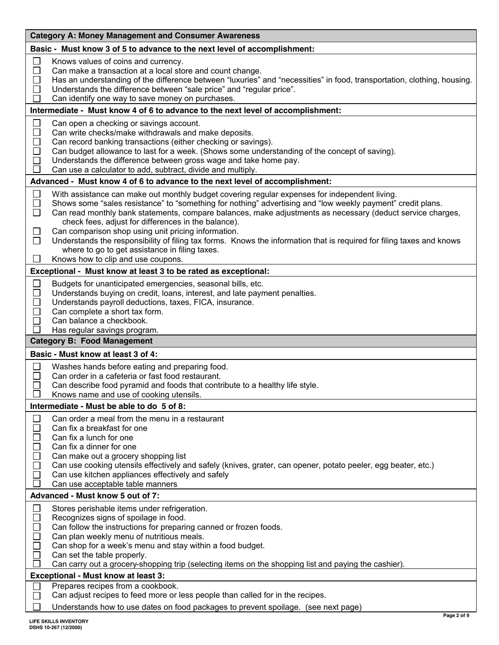| <b>Category A: Money Management and Consumer Awareness</b>                                                                                                                                                                                                                                                                                                                                                                                                                                                                                                                                                                                                                                                       |  |  |
|------------------------------------------------------------------------------------------------------------------------------------------------------------------------------------------------------------------------------------------------------------------------------------------------------------------------------------------------------------------------------------------------------------------------------------------------------------------------------------------------------------------------------------------------------------------------------------------------------------------------------------------------------------------------------------------------------------------|--|--|
| Basic - Must know 3 of 5 to advance to the next level of accomplishment:                                                                                                                                                                                                                                                                                                                                                                                                                                                                                                                                                                                                                                         |  |  |
| $\Box$<br>Knows values of coins and currency.<br>$\Box$<br>Can make a transaction at a local store and count change.<br>Has an understanding of the difference between "luxuries" and "necessities" in food, transportation, clothing, housing.<br>$\Box$<br>$\Box$<br>Understands the difference between "sale price" and "regular price".<br>Can identify one way to save money on purchases.<br>П                                                                                                                                                                                                                                                                                                             |  |  |
| Intermediate - Must know 4 of 6 to advance to the next level of accomplishment:                                                                                                                                                                                                                                                                                                                                                                                                                                                                                                                                                                                                                                  |  |  |
| $\Box$<br>Can open a checking or savings account.<br>$\Box$<br>Can write checks/make withdrawals and make deposits.<br>$\Box$<br>Can record banking transactions (either checking or savings).<br>Can budget allowance to last for a week. (Shows some understanding of the concept of saving).<br>$\Box$<br>$\overline{\phantom{a}}$<br>Understands the difference between gross wage and take home pay.<br>$\mathbf{I}$<br>Can use a calculator to add, subtract, divide and multiply.                                                                                                                                                                                                                         |  |  |
| Advanced - Must know 4 of 6 to advance to the next level of accomplishment:                                                                                                                                                                                                                                                                                                                                                                                                                                                                                                                                                                                                                                      |  |  |
| $\Box$<br>With assistance can make out monthly budget covering regular expenses for independent living.<br>□<br>Shows some "sales resistance" to "something for nothing" advertising and "low weekly payment" credit plans.<br>$\Box$<br>Can read monthly bank statements, compare balances, make adjustments as necessary (deduct service charges,<br>check fees, adjust for differences in the balance).<br>Can comparison shop using unit pricing information.<br>$\Box$<br>Understands the responsibility of filing tax forms. Knows the information that is required for filing taxes and knows<br>$\Box$<br>where to go to get assistance in filing taxes.<br>$\Box$<br>Knows how to clip and use coupons. |  |  |
| Exceptional - Must know at least 3 to be rated as exceptional:                                                                                                                                                                                                                                                                                                                                                                                                                                                                                                                                                                                                                                                   |  |  |
| $\Box$<br>Budgets for unanticipated emergencies, seasonal bills, etc.<br>$\Box$<br>Understands buying on credit, loans, interest, and late payment penalties.<br>$\Box$<br>Understands payroll deductions, taxes, FICA, insurance.<br>Can complete a short tax form.<br>$\Box$<br>Can balance a checkbook.<br>$\Box$<br>$\mathbf{I}$<br>Has regular savings program.                                                                                                                                                                                                                                                                                                                                             |  |  |
| <b>Category B: Food Management</b>                                                                                                                                                                                                                                                                                                                                                                                                                                                                                                                                                                                                                                                                               |  |  |
| Basic - Must know at least 3 of 4:                                                                                                                                                                                                                                                                                                                                                                                                                                                                                                                                                                                                                                                                               |  |  |
| $\Box$<br>Washes hands before eating and preparing food.<br>П<br>Can order in a cafeteria or fast food restaurant.<br>Can describe food pyramid and foods that contribute to a healthy life style.<br>Knows name and use of cooking utensils.                                                                                                                                                                                                                                                                                                                                                                                                                                                                    |  |  |
| Intermediate - Must be able to do 5 of 8:                                                                                                                                                                                                                                                                                                                                                                                                                                                                                                                                                                                                                                                                        |  |  |
| Can order a meal from the menu in a restaurant<br>$\Box$<br>Can fix a breakfast for one<br>Can fix a lunch for one<br>Can fix a dinner for one<br>$\Box$<br>Can make out a grocery shopping list<br>Can use cooking utensils effectively and safely (knives, grater, can opener, potato peeler, egg beater, etc.)<br>$\Box$<br>Can use kitchen appliances effectively and safely<br>П<br>Can use acceptable table manners                                                                                                                                                                                                                                                                                        |  |  |
| Advanced - Must know 5 out of 7:                                                                                                                                                                                                                                                                                                                                                                                                                                                                                                                                                                                                                                                                                 |  |  |
| ⊔<br>Stores perishable items under refrigeration.<br>$\Box$<br>Recognizes signs of spoilage in food.<br>Can follow the instructions for preparing canned or frozen foods.<br>$\Box$<br>Can plan weekly menu of nutritious meals.<br>H<br>Can shop for a week's menu and stay within a food budget.<br>$\mathcal{L}_{\mathcal{A}}$<br>Can set the table properly.<br>Can carry out a grocery-shopping trip (selecting items on the shopping list and paying the cashier).                                                                                                                                                                                                                                         |  |  |
| Exceptional - Must know at least 3:                                                                                                                                                                                                                                                                                                                                                                                                                                                                                                                                                                                                                                                                              |  |  |
| Prepares recipes from a cookbook.<br>Can adjust recipes to feed more or less people than called for in the recipes.<br>$\mathbf{L}$<br>Understands how to use dates on food packages to prevent spoilage. (see next page)                                                                                                                                                                                                                                                                                                                                                                                                                                                                                        |  |  |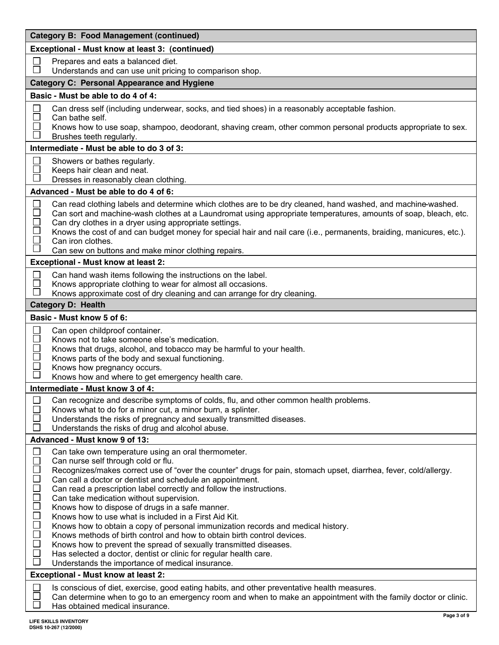| <b>Category B: Food Management (continued)</b>                                                                                                                                                                                                                                                                                                                                                                                                                                                                                                                                                                                                                                                                                                                                                                                                                                                                                                                                                                                                           |  |  |
|----------------------------------------------------------------------------------------------------------------------------------------------------------------------------------------------------------------------------------------------------------------------------------------------------------------------------------------------------------------------------------------------------------------------------------------------------------------------------------------------------------------------------------------------------------------------------------------------------------------------------------------------------------------------------------------------------------------------------------------------------------------------------------------------------------------------------------------------------------------------------------------------------------------------------------------------------------------------------------------------------------------------------------------------------------|--|--|
| Exceptional - Must know at least 3: (continued)                                                                                                                                                                                                                                                                                                                                                                                                                                                                                                                                                                                                                                                                                                                                                                                                                                                                                                                                                                                                          |  |  |
| ⊔<br>Prepares and eats a balanced diet.<br>$\mathbf{L}$<br>Understands and can use unit pricing to comparison shop.                                                                                                                                                                                                                                                                                                                                                                                                                                                                                                                                                                                                                                                                                                                                                                                                                                                                                                                                      |  |  |
| <b>Category C: Personal Appearance and Hygiene</b>                                                                                                                                                                                                                                                                                                                                                                                                                                                                                                                                                                                                                                                                                                                                                                                                                                                                                                                                                                                                       |  |  |
| Basic - Must be able to do 4 of 4:                                                                                                                                                                                                                                                                                                                                                                                                                                                                                                                                                                                                                                                                                                                                                                                                                                                                                                                                                                                                                       |  |  |
| Can dress self (including underwear, socks, and tied shoes) in a reasonably acceptable fashion.<br>$\Box$<br>$\Box$<br>Can bathe self.<br>$\sim$<br>Knows how to use soap, shampoo, deodorant, shaving cream, other common personal products appropriate to sex.<br>Brushes teeth regularly.                                                                                                                                                                                                                                                                                                                                                                                                                                                                                                                                                                                                                                                                                                                                                             |  |  |
| Intermediate - Must be able to do 3 of 3:                                                                                                                                                                                                                                                                                                                                                                                                                                                                                                                                                                                                                                                                                                                                                                                                                                                                                                                                                                                                                |  |  |
| Showers or bathes regularly.<br>$\Box$<br>Keeps hair clean and neat.<br>$\Box$<br>Dresses in reasonably clean clothing.                                                                                                                                                                                                                                                                                                                                                                                                                                                                                                                                                                                                                                                                                                                                                                                                                                                                                                                                  |  |  |
| Advanced - Must be able to do 4 of 6:                                                                                                                                                                                                                                                                                                                                                                                                                                                                                                                                                                                                                                                                                                                                                                                                                                                                                                                                                                                                                    |  |  |
| $\Box$<br>Can read clothing labels and determine which clothes are to be dry cleaned, hand washed, and machine-washed.<br>$\Box$<br>Can sort and machine-wash clothes at a Laundromat using appropriate temperatures, amounts of soap, bleach, etc.<br>Can dry clothes in a dryer using appropriate settings.<br>$\Box$<br>Knows the cost of and can budget money for special hair and nail care (i.e., permanents, braiding, manicures, etc.).<br>Can iron clothes.<br>Can sew on buttons and make minor clothing repairs.                                                                                                                                                                                                                                                                                                                                                                                                                                                                                                                              |  |  |
| <b>Exceptional - Must know at least 2:</b>                                                                                                                                                                                                                                                                                                                                                                                                                                                                                                                                                                                                                                                                                                                                                                                                                                                                                                                                                                                                               |  |  |
| Can hand wash items following the instructions on the label.<br>$\mathbb{R}^n$<br>$\mathbf{L}$<br>Knows appropriate clothing to wear for almost all occasions.<br>Knows approximate cost of dry cleaning and can arrange for dry cleaning.                                                                                                                                                                                                                                                                                                                                                                                                                                                                                                                                                                                                                                                                                                                                                                                                               |  |  |
| <b>Category D: Health</b>                                                                                                                                                                                                                                                                                                                                                                                                                                                                                                                                                                                                                                                                                                                                                                                                                                                                                                                                                                                                                                |  |  |
| Basic - Must know 5 of 6:                                                                                                                                                                                                                                                                                                                                                                                                                                                                                                                                                                                                                                                                                                                                                                                                                                                                                                                                                                                                                                |  |  |
| $\Box$<br>Can open childproof container.<br>L<br>Knows not to take someone else's medication.<br>Knows that drugs, alcohol, and tobacco may be harmful to your health.<br>$\Box$<br>Knows parts of the body and sexual functioning.<br>П<br>Knows how pregnancy occurs.<br>Knows how and where to get emergency health care.                                                                                                                                                                                                                                                                                                                                                                                                                                                                                                                                                                                                                                                                                                                             |  |  |
| Intermediate - Must know 3 of 4:                                                                                                                                                                                                                                                                                                                                                                                                                                                                                                                                                                                                                                                                                                                                                                                                                                                                                                                                                                                                                         |  |  |
| $\Box$<br>Can recognize and describe symptoms of colds, flu, and other common health problems.<br>Knows what to do for a minor cut, a minor burn, a splinter.<br>$\Box$<br>Understands the risks of pregnancy and sexually transmitted diseases.<br>$\mathsf{L}$<br>Understands the risks of drug and alcohol abuse.                                                                                                                                                                                                                                                                                                                                                                                                                                                                                                                                                                                                                                                                                                                                     |  |  |
| Advanced - Must know 9 of 13:                                                                                                                                                                                                                                                                                                                                                                                                                                                                                                                                                                                                                                                                                                                                                                                                                                                                                                                                                                                                                            |  |  |
| $\Box$<br>Can take own temperature using an oral thermometer.<br>$\Box$<br>Can nurse self through cold or flu.<br>$\Box$<br>Recognizes/makes correct use of "over the counter" drugs for pain, stomach upset, diarrhea, fever, cold/allergy.<br>$\Box$<br>Can call a doctor or dentist and schedule an appointment.<br>$\Box$<br>Can read a prescription label correctly and follow the instructions.<br>$\Box$<br>Can take medication without supervision.<br>$\Box$<br>Knows how to dispose of drugs in a safe manner.<br>$\Box$<br>Knows how to use what is included in a First Aid Kit.<br>$\Box$<br>Knows how to obtain a copy of personal immunization records and medical history.<br>$\Box$<br>Knows methods of birth control and how to obtain birth control devices.<br>$\Box$<br>Knows how to prevent the spread of sexually transmitted diseases.<br>$\Box$<br>Has selected a doctor, dentist or clinic for regular health care.<br>$\Box$<br>Understands the importance of medical insurance.<br><b>Exceptional - Must know at least 2:</b> |  |  |
| Is conscious of diet, exercise, good eating habits, and other preventative health measures.                                                                                                                                                                                                                                                                                                                                                                                                                                                                                                                                                                                                                                                                                                                                                                                                                                                                                                                                                              |  |  |
| Can determine when to go to an emergency room and when to make an appointment with the family doctor or clinic.<br>Has obtained medical insurance.                                                                                                                                                                                                                                                                                                                                                                                                                                                                                                                                                                                                                                                                                                                                                                                                                                                                                                       |  |  |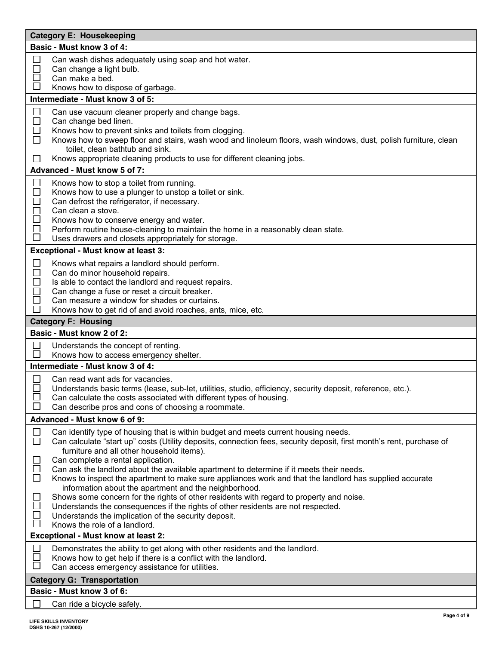| <b>Category E: Housekeeping</b>                                                                                                                                                                                                                                                                                                                                                                            |  |  |
|------------------------------------------------------------------------------------------------------------------------------------------------------------------------------------------------------------------------------------------------------------------------------------------------------------------------------------------------------------------------------------------------------------|--|--|
| Basic - Must know 3 of 4:                                                                                                                                                                                                                                                                                                                                                                                  |  |  |
| Can wash dishes adequately using soap and hot water.<br>$\Box$<br>$\Box$<br>Can change a light bulb.<br>Can make a bed.<br>Knows how to dispose of garbage.                                                                                                                                                                                                                                                |  |  |
| Intermediate - Must know 3 of 5:                                                                                                                                                                                                                                                                                                                                                                           |  |  |
|                                                                                                                                                                                                                                                                                                                                                                                                            |  |  |
| Can use vacuum cleaner properly and change bags.<br>⊔<br>$\Box$<br>Can change bed linen.<br>$\Box$<br>Knows how to prevent sinks and toilets from clogging.<br>$\Box$<br>Knows how to sweep floor and stairs, wash wood and linoleum floors, wash windows, dust, polish furniture, clean<br>toilet, clean bathtub and sink.                                                                                |  |  |
| Knows appropriate cleaning products to use for different cleaning jobs.<br>$\mathbf{L}$                                                                                                                                                                                                                                                                                                                    |  |  |
| Advanced - Must know 5 of 7:                                                                                                                                                                                                                                                                                                                                                                               |  |  |
| □<br>Knows how to stop a toilet from running.<br>$\Box$<br>Knows how to use a plunger to unstop a toilet or sink.<br>Can defrost the refrigerator, if necessary.<br>$\Box$<br>Can clean a stove.<br>$\Box$<br>Knows how to conserve energy and water.<br>Perform routine house-cleaning to maintain the home in a reasonably clean state.<br>$\Box$<br>Uses drawers and closets appropriately for storage. |  |  |
| Exceptional - Must know at least 3:                                                                                                                                                                                                                                                                                                                                                                        |  |  |
| Knows what repairs a landlord should perform.<br>$\Box$<br>$\Box$<br>Can do minor household repairs.<br>Is able to contact the landlord and request repairs.<br>Can change a fuse or reset a circuit breaker.<br>Can measure a window for shades or curtains.<br>$\Box$<br>Knows how to get rid of and avoid roaches, ants, mice, etc.                                                                     |  |  |
| <b>Category F: Housing</b>                                                                                                                                                                                                                                                                                                                                                                                 |  |  |
| Basic - Must know 2 of 2:                                                                                                                                                                                                                                                                                                                                                                                  |  |  |
| $\mathsf{L}$<br>Understands the concept of renting.<br>$\Box$<br>Knows how to access emergency shelter.                                                                                                                                                                                                                                                                                                    |  |  |
| Intermediate - Must know 3 of 4:                                                                                                                                                                                                                                                                                                                                                                           |  |  |
| $\mathbb{R}^n$<br>Can read want ads for vacancies.<br>Understands basic terms (lease, sub-let, utilities, studio, efficiency, security deposit, reference, etc.).<br>Can calculate the costs associated with different types of housing.<br>Can describe pros and cons of choosing a roommate.                                                                                                             |  |  |
| Advanced - Must know 6 of 9:                                                                                                                                                                                                                                                                                                                                                                               |  |  |
| Can identify type of housing that is within budget and meets current housing needs.<br>$\Box$<br>$\Box$<br>Can calculate "start up" costs (Utility deposits, connection fees, security deposit, first month's rent, purchase of<br>furniture and all other household items).                                                                                                                               |  |  |
| Can complete a rental application.<br>Can ask the landlord about the available apartment to determine if it meets their needs.<br>$\mathcal{L}_{\mathcal{A}}$<br>Knows to inspect the apartment to make sure appliances work and that the landlord has supplied accurate<br>information about the apartment and the neighborhood.                                                                          |  |  |
| Shows some concern for the rights of other residents with regard to property and noise.<br>$\Box$<br>Understands the consequences if the rights of other residents are not respected.<br>$\sim$<br>Understands the implication of the security deposit.<br>Knows the role of a landlord.                                                                                                                   |  |  |
| <b>Exceptional - Must know at least 2:</b>                                                                                                                                                                                                                                                                                                                                                                 |  |  |
| Demonstrates the ability to get along with other residents and the landlord.<br>$\blacksquare$<br>$\blacksquare$<br>Knows how to get help if there is a conflict with the landlord.<br>$\blacksquare$<br>Can access emergency assistance for utilities.                                                                                                                                                    |  |  |
| <b>Category G: Transportation</b>                                                                                                                                                                                                                                                                                                                                                                          |  |  |
| Basic - Must know 3 of 6:                                                                                                                                                                                                                                                                                                                                                                                  |  |  |
| $\Box$<br>Can ride a bicycle safely.                                                                                                                                                                                                                                                                                                                                                                       |  |  |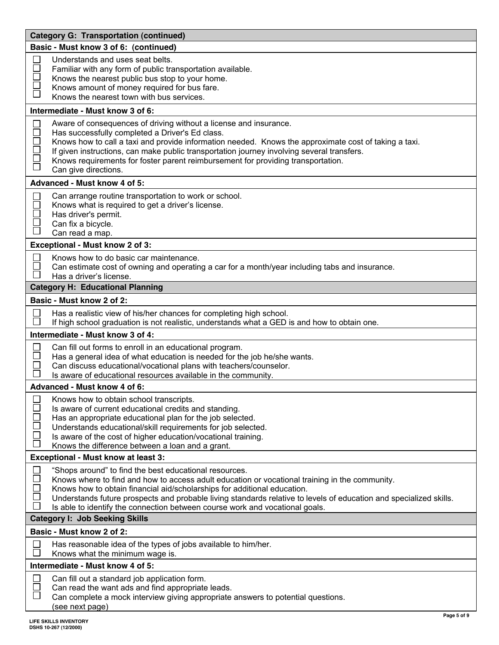| <b>Category G: Transportation (continued)</b>                                                                                                                                                                                                                                                                                                                                                                                                                                                                |  |  |
|--------------------------------------------------------------------------------------------------------------------------------------------------------------------------------------------------------------------------------------------------------------------------------------------------------------------------------------------------------------------------------------------------------------------------------------------------------------------------------------------------------------|--|--|
| Basic - Must know 3 of 6: (continued)                                                                                                                                                                                                                                                                                                                                                                                                                                                                        |  |  |
| Understands and uses seat belts.<br>$\mathcal{L}_{\mathcal{A}}$<br>$\Box$<br>Familiar with any form of public transportation available.<br>$\Box$<br>Knows the nearest public bus stop to your home.<br>$\overline{\phantom{a}}$<br>Knows amount of money required for bus fare.<br>Knows the nearest town with bus services.                                                                                                                                                                                |  |  |
| Intermediate - Must know 3 of 6:                                                                                                                                                                                                                                                                                                                                                                                                                                                                             |  |  |
| Aware of consequences of driving without a license and insurance.<br>$\Box$<br>$\Box$<br>Has successfully completed a Driver's Ed class.<br>$\Box$<br>Knows how to call a taxi and provide information needed. Knows the approximate cost of taking a taxi.<br>If given instructions, can make public transportation journey involving several transfers.<br>Knows requirements for foster parent reimbursement for providing transportation.<br>$\overline{\Box}$<br>Can give directions.                   |  |  |
| Advanced - Must know 4 of 5:                                                                                                                                                                                                                                                                                                                                                                                                                                                                                 |  |  |
| Can arrange routine transportation to work or school.<br>$\Box$<br>Knows what is required to get a driver's license.<br>$\Box$<br>$\Box$<br>Has driver's permit.<br>Can fix a bicycle.<br>Can read a map.                                                                                                                                                                                                                                                                                                    |  |  |
| Exceptional - Must know 2 of 3:                                                                                                                                                                                                                                                                                                                                                                                                                                                                              |  |  |
| Knows how to do basic car maintenance.<br>$\Box$<br>Can estimate cost of owning and operating a car for a month/year including tabs and insurance.<br>Has a driver's license.                                                                                                                                                                                                                                                                                                                                |  |  |
| <b>Category H: Educational Planning</b>                                                                                                                                                                                                                                                                                                                                                                                                                                                                      |  |  |
| Basic - Must know 2 of 2:                                                                                                                                                                                                                                                                                                                                                                                                                                                                                    |  |  |
| Has a realistic view of his/her chances for completing high school.<br>$\Box$<br>If high school graduation is not realistic, understands what a GED is and how to obtain one.                                                                                                                                                                                                                                                                                                                                |  |  |
| Intermediate - Must know 3 of 4:                                                                                                                                                                                                                                                                                                                                                                                                                                                                             |  |  |
| Can fill out forms to enroll in an educational program.<br>$\Box$<br>Has a general idea of what education is needed for the job he/she wants.<br>Can discuss educational/vocational plans with teachers/counselor.<br>Is aware of educational resources available in the community.                                                                                                                                                                                                                          |  |  |
| Advanced - Must know 4 of 6:                                                                                                                                                                                                                                                                                                                                                                                                                                                                                 |  |  |
| Knows how to obtain school transcripts.<br>Is aware of current educational credits and standing.<br>Has an appropriate educational plan for the job selected.<br>Ō<br>Understands educational/skill requirements for job selected.<br>$\Box$<br>Is aware of the cost of higher education/vocational training.<br>$\Box$<br>Knows the difference between a loan and a grant.                                                                                                                                  |  |  |
| Exceptional - Must know at least 3:                                                                                                                                                                                                                                                                                                                                                                                                                                                                          |  |  |
| "Shops around" to find the best educational resources.<br>$\Box$<br>Knows where to find and how to access adult education or vocational training in the community.<br>Knows how to obtain financial aid/scholarships for additional education.<br>$\Box$<br>Understands future prospects and probable living standards relative to levels of education and specialized skills.<br>⊔<br>Is able to identify the connection between course work and vocational goals.<br><b>Category I: Job Seeking Skills</b> |  |  |
| Basic - Must know 2 of 2:                                                                                                                                                                                                                                                                                                                                                                                                                                                                                    |  |  |
| Has reasonable idea of the types of jobs available to him/her.<br>$\mathcal{L}$<br>Knows what the minimum wage is.                                                                                                                                                                                                                                                                                                                                                                                           |  |  |
| Intermediate - Must know 4 of 5:                                                                                                                                                                                                                                                                                                                                                                                                                                                                             |  |  |
| Can fill out a standard job application form.<br>Can read the want ads and find appropriate leads.<br>Can complete a mock interview giving appropriate answers to potential questions.<br>(see next page)                                                                                                                                                                                                                                                                                                    |  |  |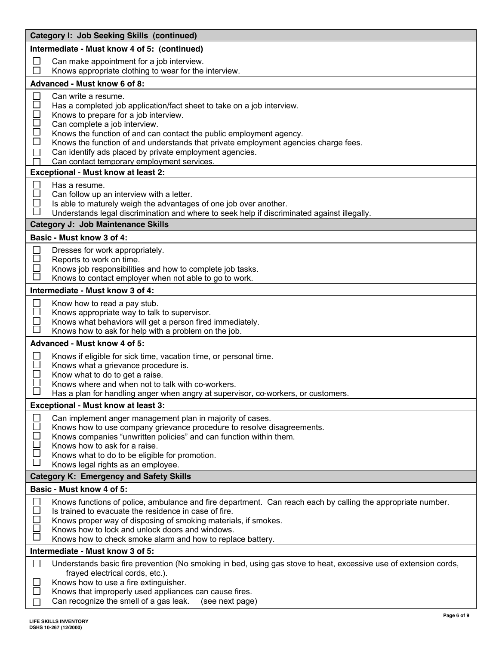| <b>Category I: Job Seeking Skills (continued)</b>            |                                                                                                                                                                                                                                                                                                                                                                                                                                                |  |
|--------------------------------------------------------------|------------------------------------------------------------------------------------------------------------------------------------------------------------------------------------------------------------------------------------------------------------------------------------------------------------------------------------------------------------------------------------------------------------------------------------------------|--|
|                                                              | Intermediate - Must know 4 of 5: (continued)                                                                                                                                                                                                                                                                                                                                                                                                   |  |
| ⊔<br>$\Box$                                                  | Can make appointment for a job interview.<br>Knows appropriate clothing to wear for the interview.                                                                                                                                                                                                                                                                                                                                             |  |
|                                                              | Advanced - Must know 6 of 8:                                                                                                                                                                                                                                                                                                                                                                                                                   |  |
| $\Box$<br>$\Box$<br>$\Box$<br>$\Box$<br>$\Box$<br>$\Box$     | Can write a resume.<br>Has a completed job application/fact sheet to take on a job interview.<br>Knows to prepare for a job interview.<br>Can complete a job interview.<br>Knows the function of and can contact the public employment agency.<br>Knows the function of and understands that private employment agencies charge fees.<br>Can identify ads placed by private employment agencies.<br>Can contact temporary employment services. |  |
|                                                              | Exceptional - Must know at least 2:                                                                                                                                                                                                                                                                                                                                                                                                            |  |
| $\mathsf{L}$<br>$\Box$<br>$\overline{\phantom{a}}$<br>$\sim$ | Has a resume.<br>Can follow up an interview with a letter.<br>Is able to maturely weigh the advantages of one job over another.<br>Understands legal discrimination and where to seek help if discriminated against illegally.<br><b>Category J: Job Maintenance Skills</b>                                                                                                                                                                    |  |
|                                                              | Basic - Must know 3 of 4:                                                                                                                                                                                                                                                                                                                                                                                                                      |  |
| $\Box$<br>$\Box$<br>$\mathbf{L}$                             | Dresses for work appropriately.<br>Reports to work on time.<br>Knows job responsibilities and how to complete job tasks.<br>Knows to contact employer when not able to go to work.                                                                                                                                                                                                                                                             |  |
|                                                              | Intermediate - Must know 3 of 4:                                                                                                                                                                                                                                                                                                                                                                                                               |  |
| $\Box$<br>$\Box$<br>$\Box$<br>$\Box$                         | Know how to read a pay stub.<br>Knows appropriate way to talk to supervisor.<br>Knows what behaviors will get a person fired immediately.<br>Knows how to ask for help with a problem on the job.                                                                                                                                                                                                                                              |  |
|                                                              | Advanced - Must know 4 of 5:                                                                                                                                                                                                                                                                                                                                                                                                                   |  |
| $\Box$                                                       | Knows if eligible for sick time, vacation time, or personal time.<br>Knows what a grievance procedure is.<br>Know what to do to get a raise.<br>Knows where and when not to talk with co-workers.<br>Has a plan for handling anger when angry at supervisor, co-workers, or customers.                                                                                                                                                         |  |
|                                                              | Exceptional - Must know at least 3:                                                                                                                                                                                                                                                                                                                                                                                                            |  |
| $\Box$<br>$\Box$<br>⊏<br>$\Box$<br>$\Box$<br>$\Box$          | Can implement anger management plan in majority of cases.<br>Knows how to use company grievance procedure to resolve disagreements.<br>Knows companies "unwritten policies" and can function within them.<br>Knows how to ask for a raise.<br>Knows what to do to be eligible for promotion.<br>Knows legal rights as an employee.                                                                                                             |  |
|                                                              | <b>Category K: Emergency and Safety Skills</b>                                                                                                                                                                                                                                                                                                                                                                                                 |  |
|                                                              | Basic - Must know 4 of 5:                                                                                                                                                                                                                                                                                                                                                                                                                      |  |
| $\Box$<br>$\mathbf{I}$                                       | Knows functions of police, ambulance and fire department. Can reach each by calling the appropriate number.<br>Is trained to evacuate the residence in case of fire.<br>Knows proper way of disposing of smoking materials, if smokes.<br>Knows how to lock and unlock doors and windows.<br>Knows how to check smoke alarm and how to replace battery.                                                                                        |  |
|                                                              | Intermediate - Must know 3 of 5:                                                                                                                                                                                                                                                                                                                                                                                                               |  |
| $\Box$<br>$\sim$<br>$\mathbf{L}$<br>$\blacksquare$           | Understands basic fire prevention (No smoking in bed, using gas stove to heat, excessive use of extension cords,<br>frayed electrical cords, etc.).<br>Knows how to use a fire extinguisher.<br>Knows that improperly used appliances can cause fires.<br>Can recognize the smell of a gas leak.<br>(see next page)                                                                                                                            |  |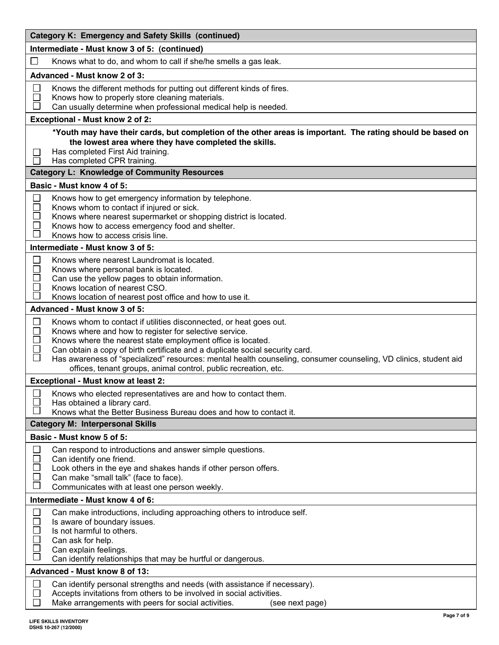| <b>Category K: Emergency and Safety Skills (continued)</b>                                                                                                        |  |  |
|-------------------------------------------------------------------------------------------------------------------------------------------------------------------|--|--|
| Intermediate - Must know 3 of 5: (continued)                                                                                                                      |  |  |
| Knows what to do, and whom to call if she/he smells a gas leak.                                                                                                   |  |  |
| <b>Advanced - Must know 2 of 3:</b>                                                                                                                               |  |  |
| Knows the different methods for putting out different kinds of fires.<br>⊔                                                                                        |  |  |
| Knows how to properly store cleaning materials.<br>×<br>Can usually determine when professional medical help is needed.                                           |  |  |
| Exceptional - Must know 2 of 2:                                                                                                                                   |  |  |
| *Youth may have their cards, but completion of the other areas is important. The rating should be based on                                                        |  |  |
| the lowest area where they have completed the skills.                                                                                                             |  |  |
| Has completed First Aid training.<br>$\sim$                                                                                                                       |  |  |
| Has completed CPR training.<br>$\mathcal{L}_{\mathcal{A}}$                                                                                                        |  |  |
| <b>Category L: Knowledge of Community Resources</b>                                                                                                               |  |  |
| Basic - Must know 4 of 5:                                                                                                                                         |  |  |
| $\Box$<br>Knows how to get emergency information by telephone.<br>$\Box$<br>Knows whom to contact if injured or sick.                                             |  |  |
| $\Box$<br>Knows where nearest supermarket or shopping district is located.                                                                                        |  |  |
| $\mathbf{I}$<br>Knows how to access emergency food and shelter.<br>Knows how to access crisis line.                                                               |  |  |
| Intermediate - Must know 3 of 5:                                                                                                                                  |  |  |
| $\Box$<br>Knows where nearest Laundromat is located.                                                                                                              |  |  |
| $\Box$<br>Knows where personal bank is located.                                                                                                                   |  |  |
| $\Box$<br>Can use the yellow pages to obtain information.                                                                                                         |  |  |
| $\mathcal{L}_{\mathcal{A}}$<br>Knows location of nearest CSO.<br>Knows location of nearest post office and how to use it.                                         |  |  |
| Advanced - Must know 3 of 5:                                                                                                                                      |  |  |
| Knows whom to contact if utilities disconnected, or heat goes out.<br>⊔                                                                                           |  |  |
| Knows where and how to register for selective service.<br>$\overline{\phantom{a}}$                                                                                |  |  |
| $\Box$<br>Knows where the nearest state employment office is located.<br>Can obtain a copy of birth certificate and a duplicate social security card.<br>∟        |  |  |
| $\Box$<br>Has awareness of "specialized" resources: mental health counseling, consumer counseling, VD clinics, student aid                                        |  |  |
| offices, tenant groups, animal control, public recreation, etc.                                                                                                   |  |  |
| <b>Exceptional - Must know at least 2:</b>                                                                                                                        |  |  |
| $\Box$ Knows who elected representatives are and how to contact them.                                                                                             |  |  |
| Has obtained a library card.<br>Knows what the Better Business Bureau does and how to contact it.                                                                 |  |  |
| <b>Category M: Interpersonal Skills</b>                                                                                                                           |  |  |
| Basic - Must know 5 of 5:                                                                                                                                         |  |  |
| $\mathbf{L}$<br>Can respond to introductions and answer simple questions.                                                                                         |  |  |
| Can identify one friend.                                                                                                                                          |  |  |
| ×<br>Look others in the eye and shakes hands if other person offers.<br>Can make "small talk" (face to face).                                                     |  |  |
| Communicates with at least one person weekly.                                                                                                                     |  |  |
| Intermediate - Must know 4 of 6:                                                                                                                                  |  |  |
| $\begin{array}{c} \hline \end{array}$<br>Can make introductions, including approaching others to introduce self.                                                  |  |  |
| $\Box$<br>Is aware of boundary issues.<br>$\Box$<br>Is not harmful to others.                                                                                     |  |  |
| Can ask for help.                                                                                                                                                 |  |  |
| Can explain feelings.                                                                                                                                             |  |  |
| Can identify relationships that may be hurtful or dangerous.                                                                                                      |  |  |
| Advanced - Must know 8 of 13:                                                                                                                                     |  |  |
| $\mathbf{L}$<br>Can identify personal strengths and needs (with assistance if necessary).<br>Accepts invitations from others to be involved in social activities. |  |  |
| Make arrangements with peers for social activities.<br>(see next page)                                                                                            |  |  |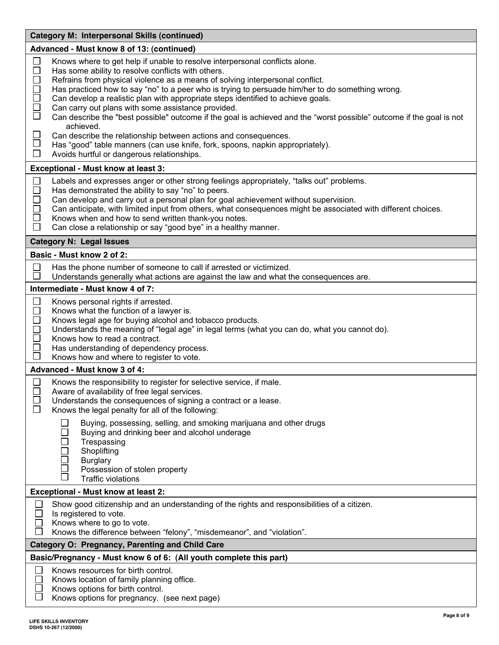| <b>Category M: Interpersonal Skills (continued)</b>                                                                                                                                                                                                                                                                                                                                                                                                                                                                                                                                                                                                                                                                                                                                                                                                                                |  |  |
|------------------------------------------------------------------------------------------------------------------------------------------------------------------------------------------------------------------------------------------------------------------------------------------------------------------------------------------------------------------------------------------------------------------------------------------------------------------------------------------------------------------------------------------------------------------------------------------------------------------------------------------------------------------------------------------------------------------------------------------------------------------------------------------------------------------------------------------------------------------------------------|--|--|
| Advanced - Must know 8 of 13: (continued)                                                                                                                                                                                                                                                                                                                                                                                                                                                                                                                                                                                                                                                                                                                                                                                                                                          |  |  |
| □<br>Knows where to get help if unable to resolve interpersonal conflicts alone.<br>$\Box$<br>Has some ability to resolve conflicts with others.<br>Refrains from physical violence as a means of solving interpersonal conflict.<br>$\Box$<br>$\Box$<br>Has practiced how to say "no" to a peer who is trying to persuade him/her to do something wrong.<br>Can develop a realistic plan with appropriate steps identified to achieve goals.<br>$\Box$<br>Can carry out plans with some assistance provided.<br>$\Box$<br>Can describe the "best possible" outcome if the goal is achieved and the "worst possible" outcome if the goal is not<br>achieved.<br>$\Box$<br>Can describe the relationship between actions and consequences.<br>Has "good" table manners (can use knife, fork, spoons, napkin appropriately).<br>$\Box$<br>Avoids hurtful or dangerous relationships. |  |  |
| Exceptional - Must know at least 3:                                                                                                                                                                                                                                                                                                                                                                                                                                                                                                                                                                                                                                                                                                                                                                                                                                                |  |  |
| □<br>Labels and expresses anger or other strong feelings appropriately, "talks out" problems.<br>$\Box$<br>Has demonstrated the ability to say "no" to peers.<br>$\Box$<br>Can develop and carry out a personal plan for goal achievement without supervision.<br>$\Box$<br>Can anticipate, with limited input from others, what consequences might be associated with different choices.<br>Knows when and how to send written thank-you notes.<br>$\Box$<br>Can close a relationship or say "good bye" in a healthy manner.                                                                                                                                                                                                                                                                                                                                                      |  |  |
| <b>Category N: Legal Issues</b>                                                                                                                                                                                                                                                                                                                                                                                                                                                                                                                                                                                                                                                                                                                                                                                                                                                    |  |  |
| Basic - Must know 2 of 2:                                                                                                                                                                                                                                                                                                                                                                                                                                                                                                                                                                                                                                                                                                                                                                                                                                                          |  |  |
| Has the phone number of someone to call if arrested or victimized.<br>$\Box$<br>$\Box$<br>Understands generally what actions are against the law and what the consequences are.                                                                                                                                                                                                                                                                                                                                                                                                                                                                                                                                                                                                                                                                                                    |  |  |
| Intermediate - Must know 4 of 7:                                                                                                                                                                                                                                                                                                                                                                                                                                                                                                                                                                                                                                                                                                                                                                                                                                                   |  |  |
| $\Box$<br>Knows personal rights if arrested.<br>$\Box$<br>Knows what the function of a lawyer is.<br>$\Box$<br>Knows legal age for buying alcohol and tobacco products.<br>$\Box$<br>Understands the meaning of "legal age" in legal terms (what you can do, what you cannot do).<br>$\Box$<br>Knows how to read a contract.<br>$\Box$<br>Has understanding of dependency process.<br>П<br>Knows how and where to register to vote.                                                                                                                                                                                                                                                                                                                                                                                                                                                |  |  |
| Advanced - Must know 3 of 4:                                                                                                                                                                                                                                                                                                                                                                                                                                                                                                                                                                                                                                                                                                                                                                                                                                                       |  |  |
| Knows the responsibility to register for selective service, if male.<br>ப<br>Aware of availability of free legal services.<br>Understands the consequences of signing a contract or a lease.<br>$\mathsf{L}$<br>Knows the legal penalty for all of the following:<br>Buying, possessing, selling, and smoking marijuana and other drugs<br>Buying and drinking beer and alcohol underage                                                                                                                                                                                                                                                                                                                                                                                                                                                                                           |  |  |
| Trespassing<br>Shoplifting<br><b>Burglary</b><br>Possession of stolen property<br><b>Traffic violations</b>                                                                                                                                                                                                                                                                                                                                                                                                                                                                                                                                                                                                                                                                                                                                                                        |  |  |
| Exceptional - Must know at least 2:                                                                                                                                                                                                                                                                                                                                                                                                                                                                                                                                                                                                                                                                                                                                                                                                                                                |  |  |
| Show good citizenship and an understanding of the rights and responsibilities of a citizen.<br>Is registered to vote.<br>Knows where to go to vote.<br>Knows the difference between "felony", "misdemeanor", and "violation".                                                                                                                                                                                                                                                                                                                                                                                                                                                                                                                                                                                                                                                      |  |  |
| <b>Category O: Pregnancy, Parenting and Child Care</b>                                                                                                                                                                                                                                                                                                                                                                                                                                                                                                                                                                                                                                                                                                                                                                                                                             |  |  |
| Basic/Pregnancy - Must know 6 of 6: (All youth complete this part)                                                                                                                                                                                                                                                                                                                                                                                                                                                                                                                                                                                                                                                                                                                                                                                                                 |  |  |
| Knows resources for birth control.<br>Knows location of family planning office.<br>Knows options for birth control.<br>Knows options for pregnancy. (see next page)                                                                                                                                                                                                                                                                                                                                                                                                                                                                                                                                                                                                                                                                                                                |  |  |